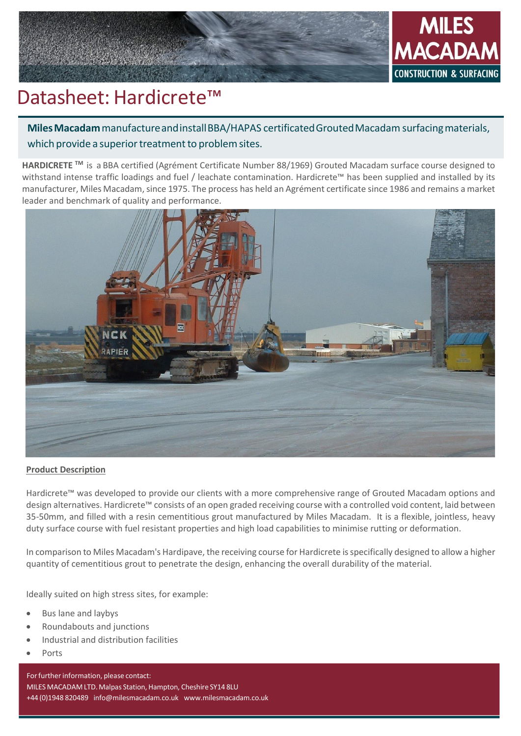

# Datasheet: Hardicrete™

**Miles Macadam** manufacture and install BBA/HAPAS certificated Grouted Macadam surfacing materials, which provide a superior treatment to problem sites.

**HARDICRETE TM** is a BBA certified (Agrément Certificate Number 88/1969) Grouted Macadam surface course designed to withstand intense traffic loadings and fuel / leachate contamination. Hardicrete™ has been supplied and installed by its manufacturer, Miles Macadam, since 1975. The process has held an Agrément certificate since 1986 and remains a market leader and benchmark of quality and performance.



# **Product Description**

Hardicrete™ was developed to provide our clients with a more comprehensive range of Grouted Macadam options and design alternatives. Hardicrete™ consists of an open graded receiving course with a controlled void content, laid between 35-50mm, and filled with a resin cementitious grout manufactured by Miles Macadam. It is a flexible, jointless, heavy duty surface course with fuel resistant properties and high load capabilities to minimise rutting or deformation.

In comparison to Miles Macadam's Hardipave, the receiving course for Hardicrete is specifically designed to allow a higher quantity of cementitious grout to penetrate the design, enhancing the overall durability of the material.

Ideally suited on high stress sites, for example:

- Bus lane and laybys
- Roundabouts and junctions
- Industrial and distribution facilities
- Ports

For further information, please contact: MILESMACADAM LTD. Malpas Station, Hampton, Cheshire SY14 8LU +44 (0)1948 820489 [info@milesmacadam.co.uk](mailto:info@milesmacadam.co.uk) [www.milesmacadam.co.uk](http://www.milesmacadam.co.uk/)